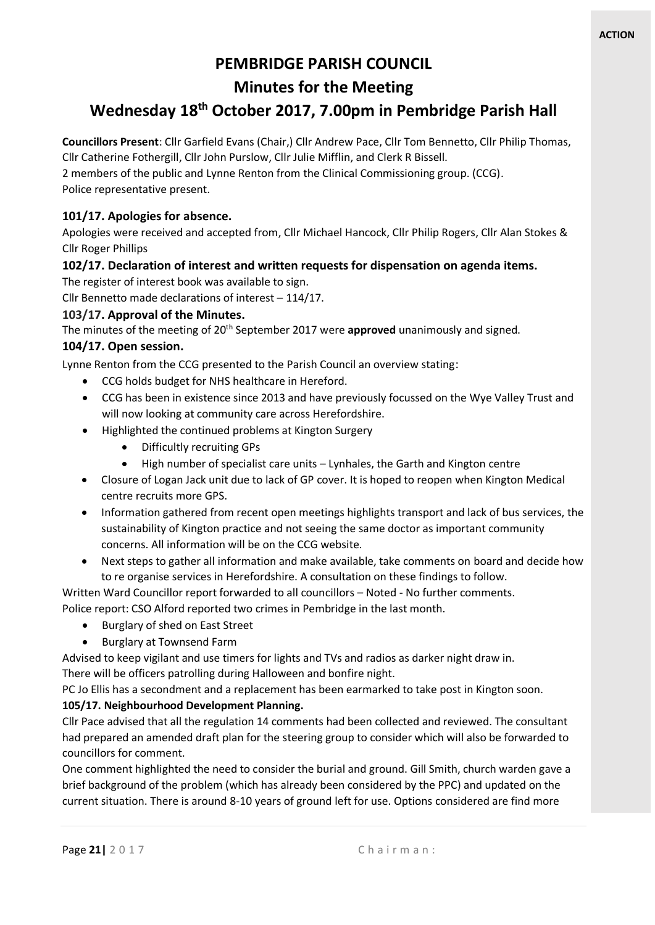# **PEMBRIDGE PARISH COUNCIL**

## **Minutes for the Meeting**

## **Wednesday 18th October 2017, 7.00pm in Pembridge Parish Hall**

**Councillors Present**: Cllr Garfield Evans (Chair,) Cllr Andrew Pace, Cllr Tom Bennetto, Cllr Philip Thomas, Cllr Catherine Fothergill, Cllr John Purslow, Cllr Julie Mifflin, and Clerk R Bissell.

2 members of the public and Lynne Renton from the Clinical Commissioning group. (CCG). Police representative present.

## **101/17. Apologies for absence.**

Apologies were received and accepted from, Cllr Michael Hancock, Cllr Philip Rogers, Cllr Alan Stokes & Cllr Roger Phillips

## **102/17. Declaration of interest and written requests for dispensation on agenda items.**

The register of interest book was available to sign.

Cllr Bennetto made declarations of interest – 114/17.

## **103/17. Approval of the Minutes.**

The minutes of the meeting of 20th September 2017 were **approved** unanimously and signed.

## **104/17. Open session.**

Lynne Renton from the CCG presented to the Parish Council an overview stating:

- CCG holds budget for NHS healthcare in Hereford.
- CCG has been in existence since 2013 and have previously focussed on the Wye Valley Trust and will now looking at community care across Herefordshire.
- Highlighted the continued problems at Kington Surgery
	- Difficultly recruiting GPs
	- High number of specialist care units Lynhales, the Garth and Kington centre
- Closure of Logan Jack unit due to lack of GP cover. It is hoped to reopen when Kington Medical centre recruits more GPS.
- Information gathered from recent open meetings highlights transport and lack of bus services, the sustainability of Kington practice and not seeing the same doctor as important community concerns. All information will be on the CCG website.
- Next steps to gather all information and make available, take comments on board and decide how to re organise services in Herefordshire. A consultation on these findings to follow.

Written Ward Councillor report forwarded to all councillors – Noted - No further comments. Police report: CSO Alford reported two crimes in Pembridge in the last month.

- Burglary of shed on East Street
- Burglary at Townsend Farm

Advised to keep vigilant and use timers for lights and TVs and radios as darker night draw in.

There will be officers patrolling during Halloween and bonfire night.

PC Jo Ellis has a secondment and a replacement has been earmarked to take post in Kington soon.

## **105/17. Neighbourhood Development Planning.**

Cllr Pace advised that all the regulation 14 comments had been collected and reviewed. The consultant had prepared an amended draft plan for the steering group to consider which will also be forwarded to councillors for comment.

One comment highlighted the need to consider the burial and ground. Gill Smith, church warden gave a brief background of the problem (which has already been considered by the PPC) and updated on the current situation. There is around 8-10 years of ground left for use. Options considered are find more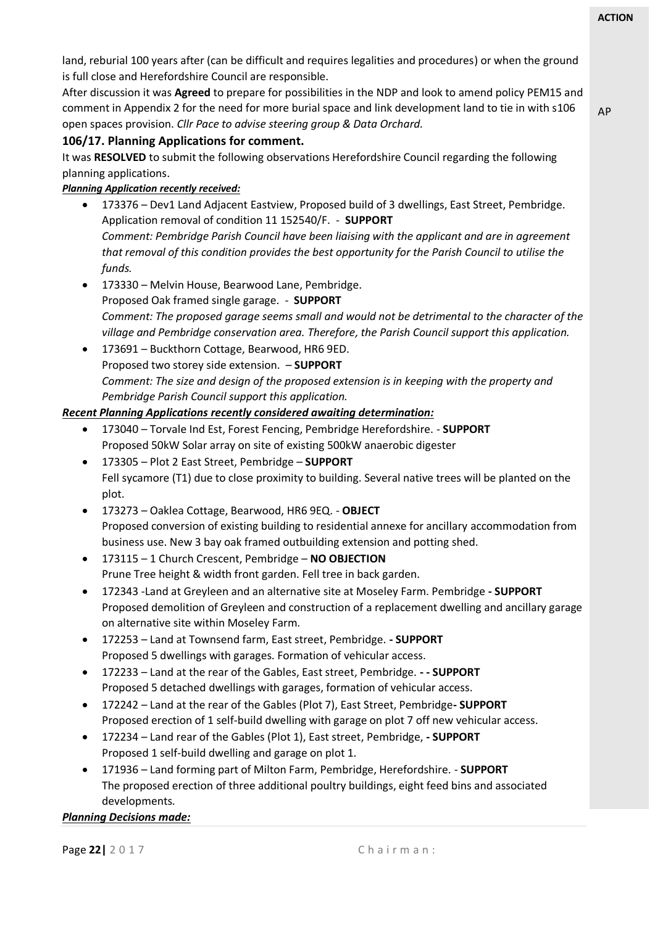AP

land, reburial 100 years after (can be difficult and requires legalities and procedures) or when the ground is full close and Herefordshire Council are responsible.

After discussion it was **Agreed** to prepare for possibilities in the NDP and look to amend policy PEM15 and comment in Appendix 2 for the need for more burial space and link development land to tie in with s106 open spaces provision. *Cllr Pace to advise steering group & Data Orchard.*

## **106/17. Planning Applications for comment.**

It was **RESOLVED** to submit the following observations Herefordshire Council regarding the following planning applications.

## *Planning Application recently received:*

- 173376 Dev1 Land Adjacent Eastview, Proposed build of 3 dwellings, East Street, Pembridge. Application removal of condition 11 152540/F. - **SUPPORT** *Comment: Pembridge Parish Council have been liaising with the applicant and are in agreement that removal of this condition provides the best opportunity for the Parish Council to utilise the funds.*
- 173330 Melvin House, Bearwood Lane, Pembridge. Proposed Oak framed single garage. - **SUPPORT** *Comment: The proposed garage seems small and would not be detrimental to the character of the village and Pembridge conservation area. Therefore, the Parish Council support this application.*
- 173691 Buckthorn Cottage, Bearwood, HR6 9ED. Proposed two storey side extension. – **SUPPORT** *Comment: The size and design of the proposed extension is in keeping with the property and Pembridge Parish Council support this application.*

## *Recent Planning Applications recently considered awaiting determination:*

- 173040 Torvale Ind Est, Forest Fencing, Pembridge Herefordshire. **SUPPORT** Proposed 50kW Solar array on site of existing 500kW anaerobic digester
- 173305 Plot 2 East Street, Pembridge **SUPPORT** Fell sycamore (T1) due to close proximity to building. Several native trees will be planted on the plot.
- 173273 Oaklea Cottage, Bearwood, HR6 9EQ. **OBJECT** Proposed conversion of existing building to residential annexe for ancillary accommodation from business use. New 3 bay oak framed outbuilding extension and potting shed.
- 173115 1 Church Crescent, Pembridge **NO OBJECTION** Prune Tree height & width front garden. Fell tree in back garden.
- 172343 -Land at Greyleen and an alternative site at Moseley Farm. Pembridge **- SUPPORT** Proposed demolition of Greyleen and construction of a replacement dwelling and ancillary garage on alternative site within Moseley Farm.
- 172253 Land at Townsend farm, East street, Pembridge. **- SUPPORT** Proposed 5 dwellings with garages. Formation of vehicular access.
- 172233 Land at the rear of the Gables, East street, Pembridge. **- - SUPPORT** Proposed 5 detached dwellings with garages, formation of vehicular access.
- 172242 Land at the rear of the Gables (Plot 7), East Street, Pembridge**- SUPPORT** Proposed erection of 1 self-build dwelling with garage on plot 7 off new vehicular access.
- 172234 Land rear of the Gables (Plot 1), East street, Pembridge, **- SUPPORT** Proposed 1 self-build dwelling and garage on plot 1.
- 171936 Land forming part of Milton Farm, Pembridge, Herefordshire. **SUPPORT** The proposed erection of three additional poultry buildings, eight feed bins and associated developments.

## *Planning Decisions made:*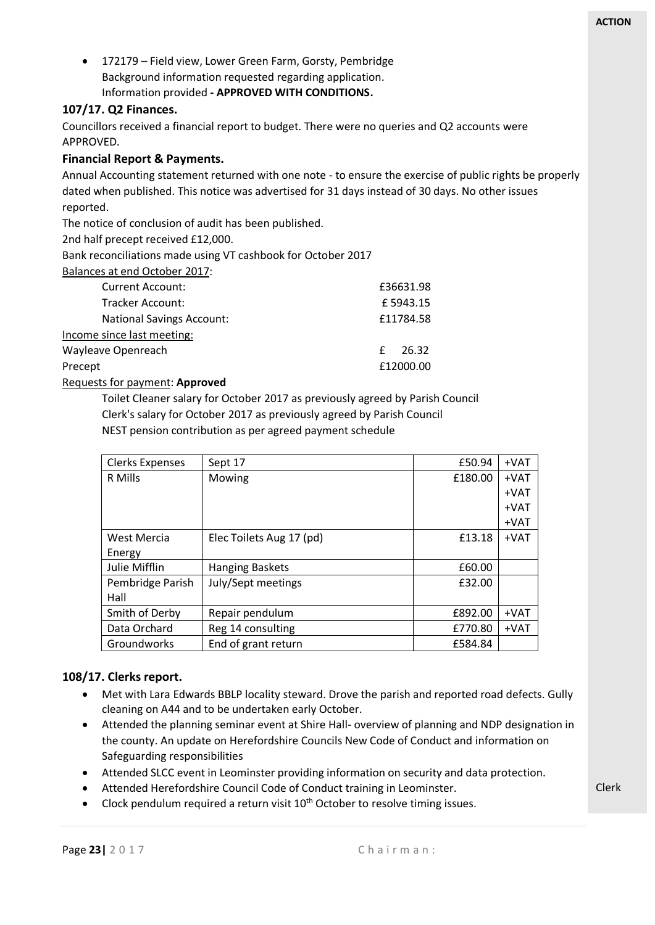• 172179 – Field view, Lower Green Farm, Gorsty, Pembridge Background information requested regarding application. Information provided **- APPROVED WITH CONDITIONS.**

## **107/17. Q2 Finances.**

Councillors received a financial report to budget. There were no queries and Q2 accounts were APPROVED.

## **Financial Report & Payments.**

Annual Accounting statement returned with one note - to ensure the exercise of public rights be properly dated when published. This notice was advertised for 31 days instead of 30 days. No other issues reported.

The notice of conclusion of audit has been published.

2nd half precept received £12,000.

Bank reconciliations made using VT cashbook for October 2017

Balances at end October 2017:

| <b>Current Account:</b>          | £36631.98  |
|----------------------------------|------------|
| Tracker Account:                 | £5943.15   |
| <b>National Savings Account:</b> | £11784.58  |
| Income since last meeting:       |            |
| Wayleave Openreach               | 26.32<br>£ |
| Precept                          | £12000.00  |

Requests for payment: **Approved**

Toilet Cleaner salary for October 2017 as previously agreed by Parish Council Clerk's salary for October 2017 as previously agreed by Parish Council NEST pension contribution as per agreed payment schedule

| Clerks Expenses      | Sept 17                  | £50.94  | $+VAT$ |
|----------------------|--------------------------|---------|--------|
| R Mills              | Mowing                   | £180.00 | $+VAT$ |
|                      |                          |         | +VAT   |
|                      |                          |         | +VAT   |
|                      |                          |         | +VAT   |
| West Mercia          | Elec Toilets Aug 17 (pd) | £13.18  | +VAT   |
| Energy               |                          |         |        |
| <b>Julie Mifflin</b> | <b>Hanging Baskets</b>   | £60.00  |        |
| Pembridge Parish     | July/Sept meetings       | £32.00  |        |
| Hall                 |                          |         |        |
| Smith of Derby       | Repair pendulum          | £892.00 | +VAT   |
| Data Orchard         | Reg 14 consulting        | £770.80 | $+VAT$ |
| Groundworks          | End of grant return      | £584.84 |        |

## **108/17. Clerks report.**

- Met with Lara Edwards BBLP locality steward. Drove the parish and reported road defects. Gully cleaning on A44 and to be undertaken early October.
- Attended the planning seminar event at Shire Hall- overview of planning and NDP designation in the county. An update on Herefordshire Councils New Code of Conduct and information on Safeguarding responsibilities
- Attended SLCC event in Leominster providing information on security and data protection.
- Attended Herefordshire Council Code of Conduct training in Leominster.
- Clock pendulum required a return visit  $10<sup>th</sup>$  October to resolve timing issues.

Clerk